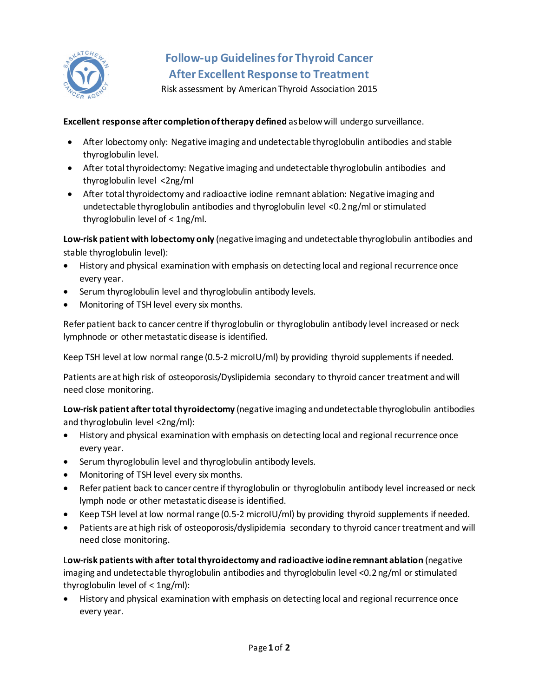

## **Follow-up Guidelines for Thyroid Cancer After Excellent Response to Treatment**

Risk assessment by American Thyroid Association 2015

**Excellent response after completion of therapy defined** as below will undergo surveillance.

- After lobectomy only: Negative imaging and undetectable thyroglobulin antibodies and stable thyroglobulin level.
- After total thyroidectomy: Negative imaging and undetectable thyroglobulin antibodies and thyroglobulin level <2ng/ml
- After total thyroidectomy and radioactive iodine remnant ablation: Negative imaging and undetectable thyroglobulin antibodies and thyroglobulin level <0.2 ng/ml or stimulated thyroglobulin level of < 1ng/ml.

**Low-risk patient with lobectomy only** (negative imaging and undetectable thyroglobulin antibodies and stable thyroglobulin level):

- History and physical examination with emphasis on detecting local and regional recurrence once every year.
- Serum thyroglobulin level and thyroglobulin antibody levels.
- Monitoring of TSH level every six months.

Refer patient back to cancer centre if thyroglobulin or thyroglobulin antibody level increased or neck lymphnode or other metastatic disease is identified.

Keep TSH level at low normal range (0.5-2 microIU/ml) by providing thyroid supplements if needed.

Patients are at high risk of osteoporosis/Dyslipidemia secondary to thyroid cancer treatment and will need close monitoring.

**Low-risk patient aftertotal thyroidectomy** (negative imaging and undetectable thyroglobulin antibodies and thyroglobulin level <2ng/ml):

- History and physical examination with emphasis on detecting local and regional recurrence once every year.
- Serum thyroglobulin level and thyroglobulin antibody levels.
- Monitoring of TSH level every six months.
- Refer patient back to cancer centre if thyroglobulin or thyroglobulin antibody level increased or neck lymph node or other metastatic disease is identified.
- Keep TSH level at low normal range (0.5-2 microIU/ml) by providing thyroid supplements if needed.
- Patients are at high risk of osteoporosis/dyslipidemia secondary to thyroid cancer treatment and will need close monitoring.

L**ow-risk patients with after total thyroidectomy and radioactive iodine remnant ablation** (negative imaging and undetectable thyroglobulin antibodies and thyroglobulin level <0.2 ng/ml or stimulated thyroglobulin level of < 1ng/ml):

• History and physical examination with emphasis on detecting local and regional recurrence once every year.